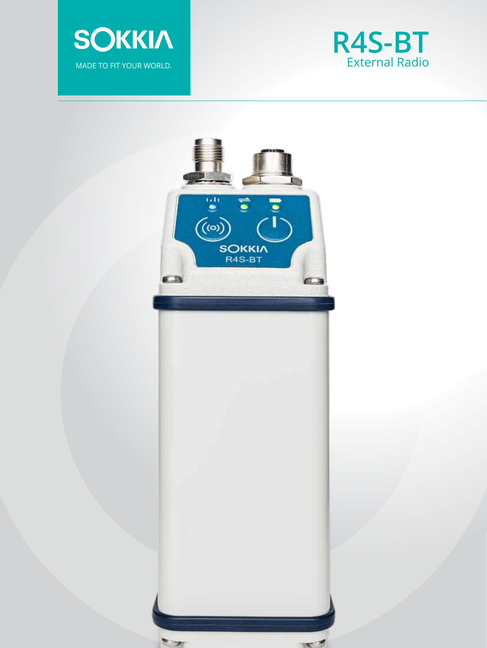



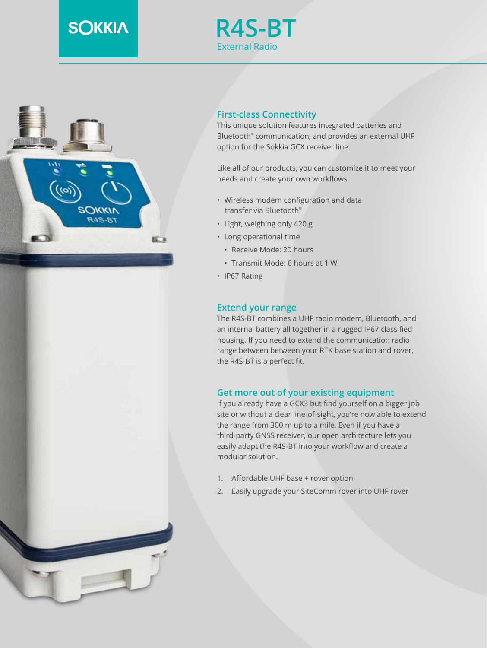# **SOKKIA**







This unique solution features integrated batteries and Bluetooth® communication, and provides an external UHF option for the Sokkia GCX receiver line.

Like all of our products, you can customize it to meet your needs and create your own workflows.

- Wireless modem configuration and data transfer via Bluetooth®
- Light, weighing only 420 g
- Long operational time
	- Receive Mode: 20 hours
	- Transmit Mode: 6 hours at 1 W
- IP67 Rating

# **Extend your range**

The R4S-BT combines a UHF radio modem, Bluetooth, and an internal battery all together in a rugged IP67 classified housing. If you need to extend the communication radio range between between your RTK base station and rover, the R4S-BT is a perfect fit.

### **Get more out of your existing equipment**

If you already have a GCX3 but find yourself on a bigger job site or without a clear line-of-sight, you're now able to extend the range from 300 m up to a mile. Even if you have a third-party GNSS receiver, our open architecture lets you easily adapt the R4S-BT into your workflow and create a modular solution.

- 1. Affordable UHF base + rover option
- 2. Easily upgrade your SiteComm rover into UHF rover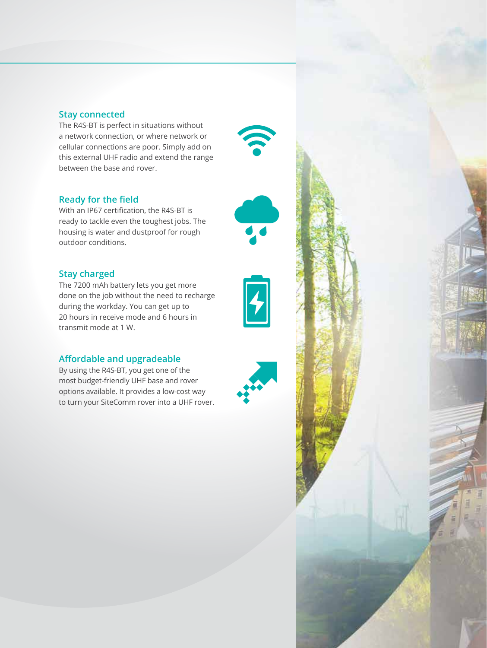## **Stay connected**

The R4S-BT is perfect in situations without a network connection, or where network or cellular connections are poor. Simply add on this external UHF radio and extend the range between the base and rover.

# **Ready for the field**

With an IP67 certification, the R4S-BT is ready to tackle even the toughest jobs. The housing is water and dustproof for rough outdoor conditions.

## **Stay charged**

The 7200 mAh battery lets you get more done on the job without the need to recharge during the workday. You can get up to 20 hours in receive mode and 6 hours in transmit mode at 1 W.

### **Affordable and upgradeable**

By using the R4S-BT, you get one of the most budget-friendly UHF base and rover options available. It provides a low-cost way to turn your SiteComm rover into a UHF rover.